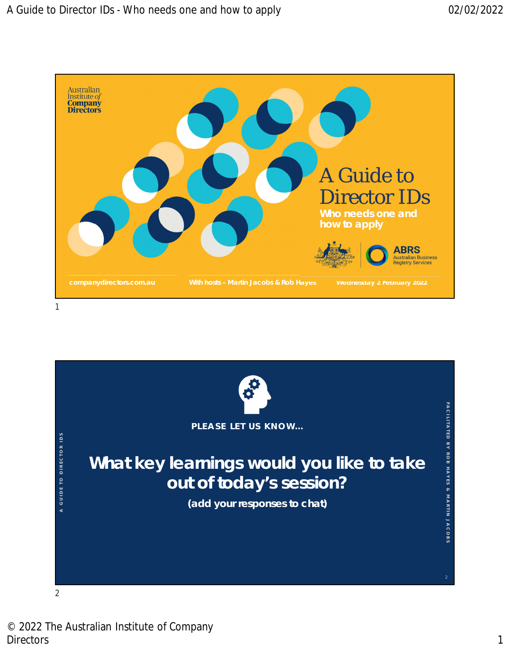

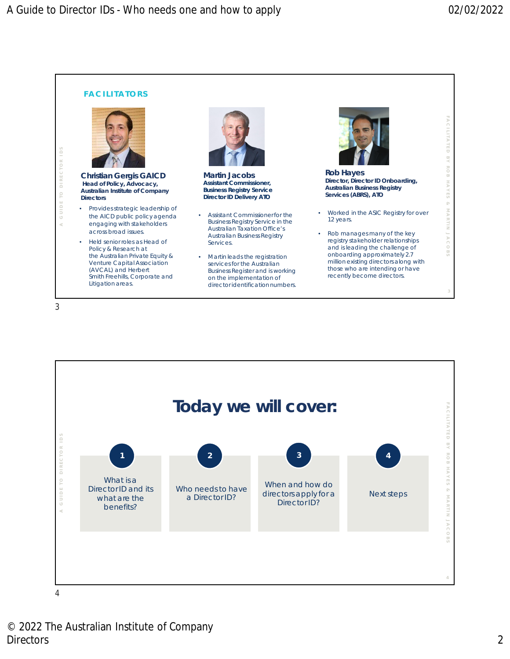

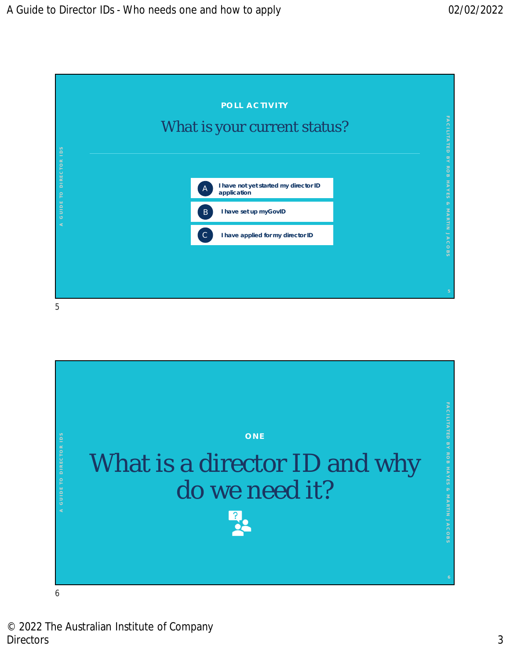

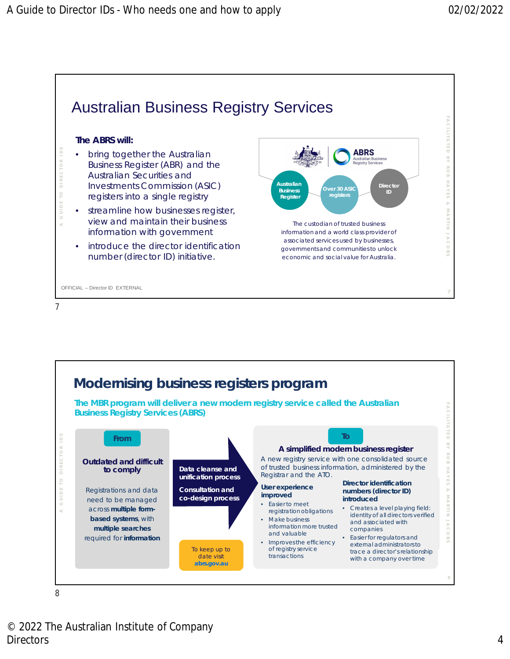

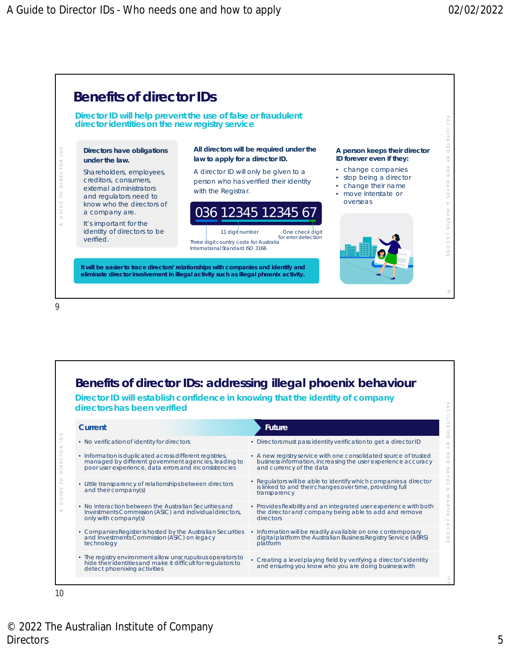

| Benefits of director IDs: addressing illegal phoenix behaviour                |
|-------------------------------------------------------------------------------|
| Director ID will establish confidence in knowing that the identity of company |

**directors has been verified**

| Current                                                                                                                                                                   | Future                                                                                                                                                        |
|---------------------------------------------------------------------------------------------------------------------------------------------------------------------------|---------------------------------------------------------------------------------------------------------------------------------------------------------------|
| • No verification of identity for directors                                                                                                                               | • Directors must pass identity verification to get a director ID                                                                                              |
| • Information is duplicated across different registries,<br>managed by different government agencies, leading to<br>poor user experience, data errors and inconsistencies | • A new registry service with one consolidated source of trusted<br>business information, increasing the user experience accuracy<br>and currency of the data |
| • Little transparency of relationships between directors<br>and their company(s)                                                                                          | • Regulators will be able to identify which companies a director<br>is linked to and their changes over time, providing full<br>transparency                  |
| • No interaction between the Australian Securities and<br>Investments Commission (ASIC) and individual directors,<br>only with company(s)                                 | • Provides flexibility and an integrated user experience with both<br>the director and company being able to add and remove<br>directors                      |
| • Companies Register is hosted by the Australian Securities<br>and Investments Commission (ASIC) on legacy<br>technology                                                  | • Information will be readily available on one contemporary<br>digital platform the Australian Business Registry Service (ABRS)<br>platform                   |
| • The registry environment allow unscrupulous operators to<br>hide their identities and make it difficult for regulators to<br>detect phoenixing activities               | • Creating a level playing field by verifying a director's identity<br>and ensuring you know who you are doing business with                                  |
|                                                                                                                                                                           |                                                                                                                                                               |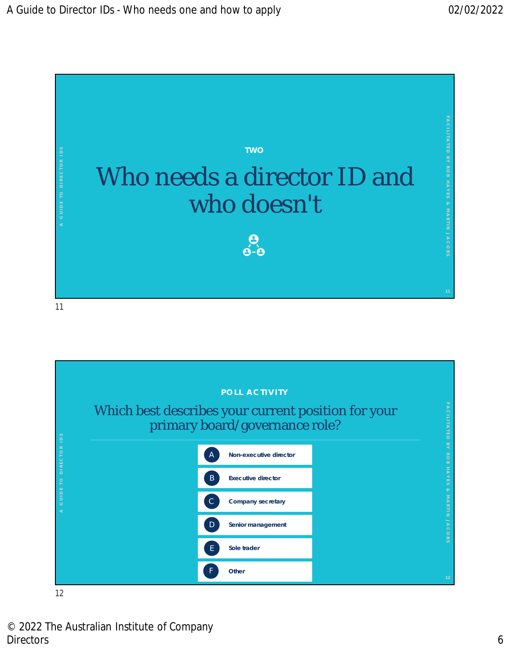

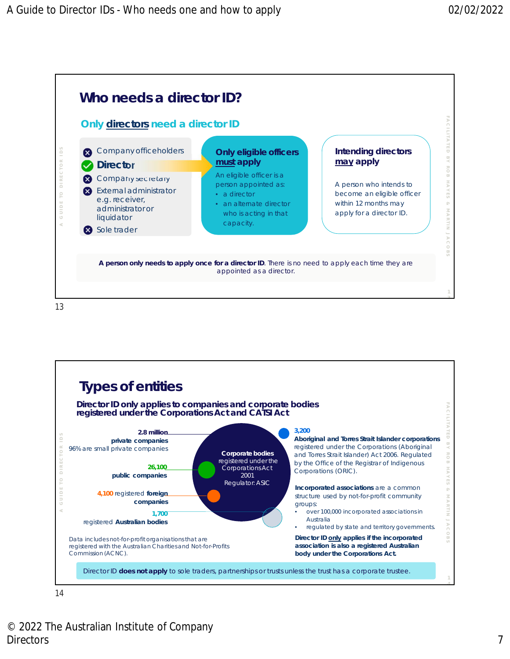



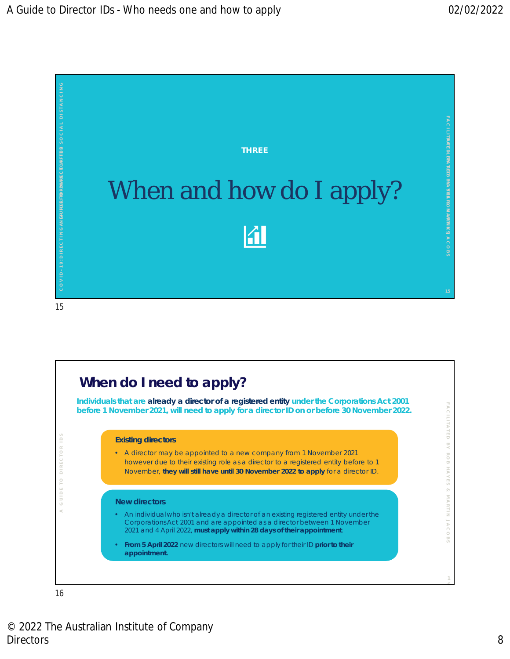

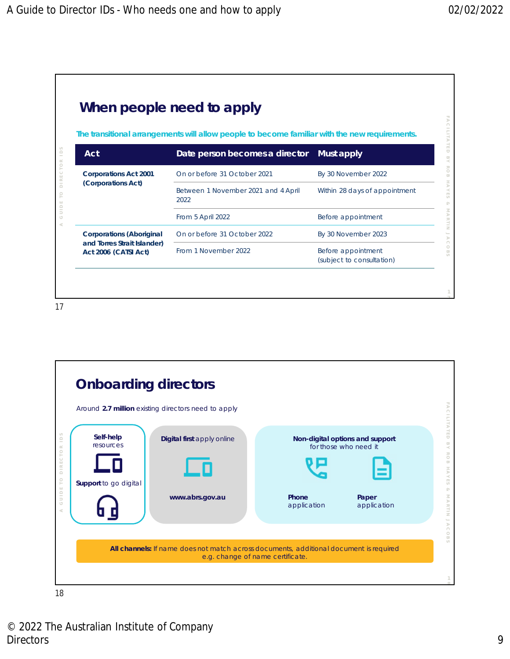

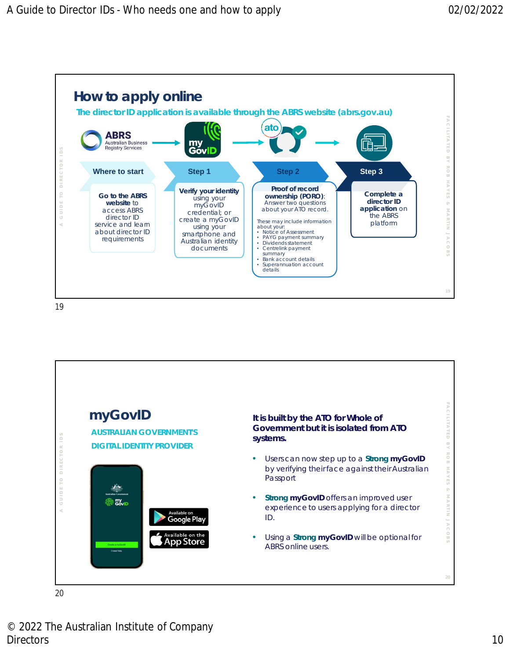

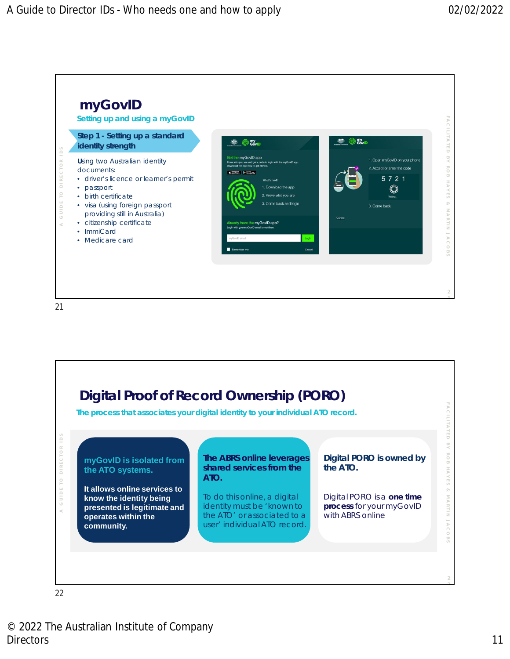

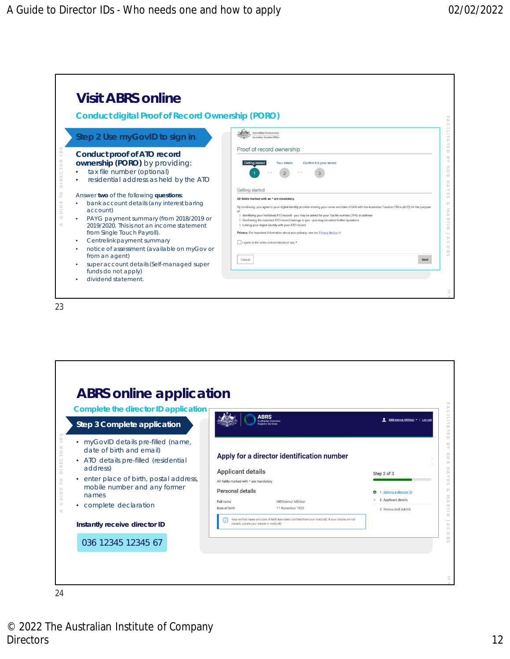

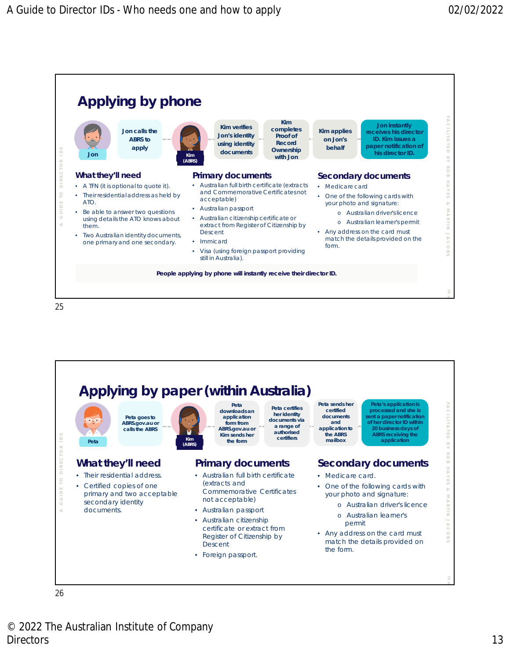

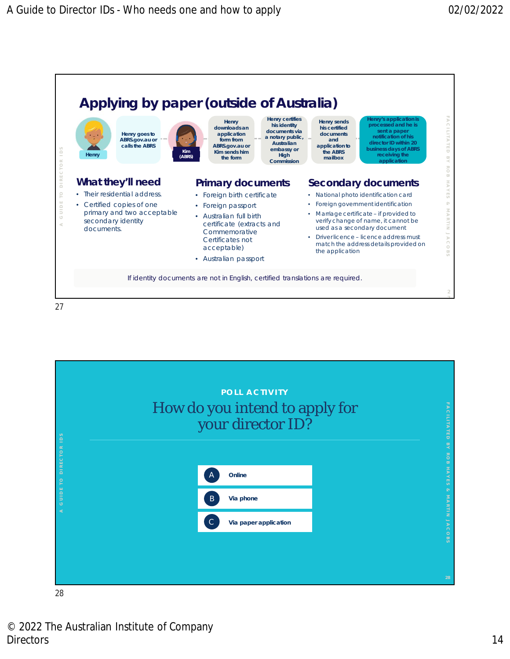

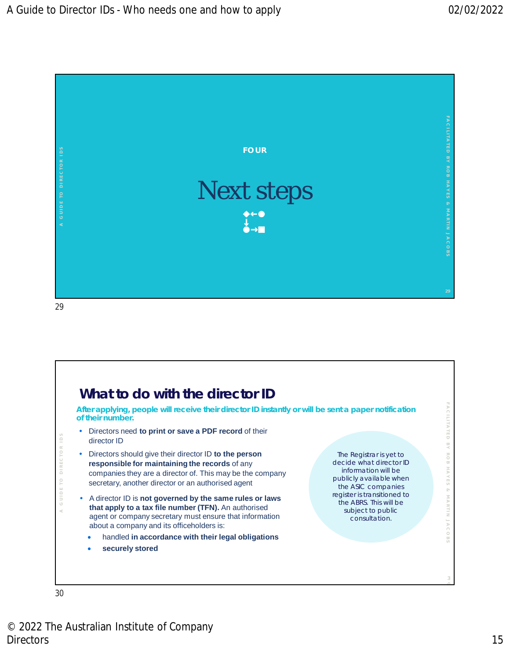

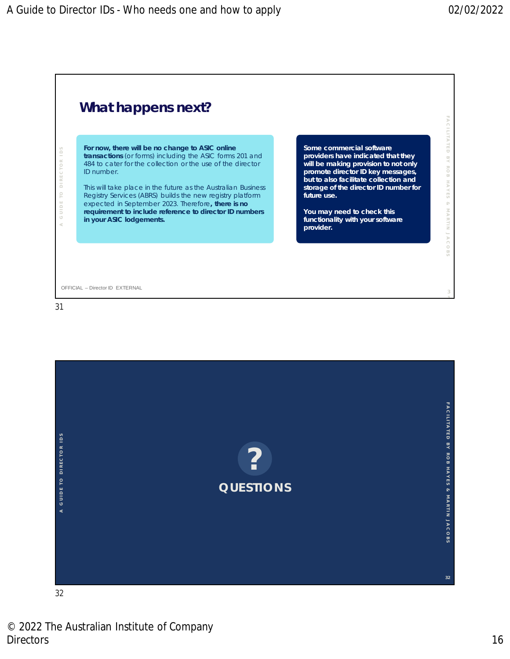



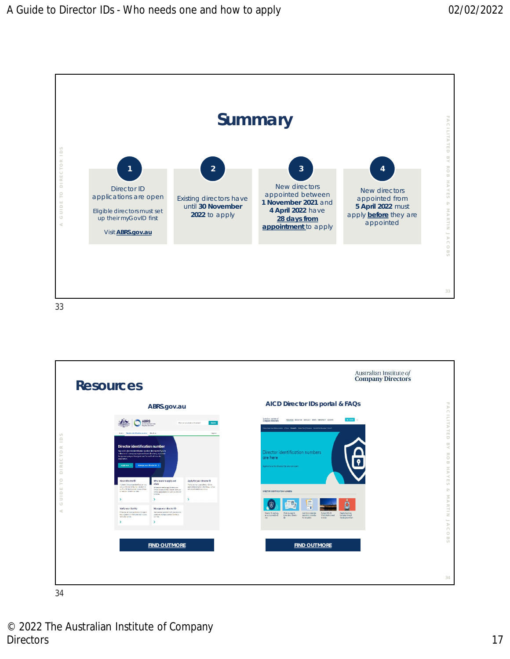